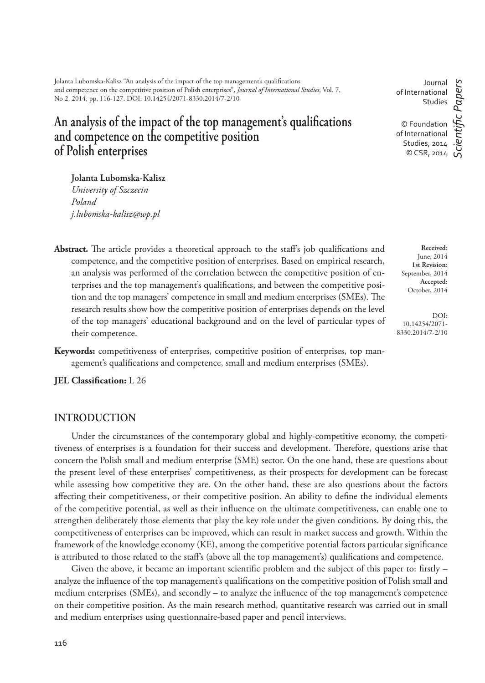# An analysis of the impact of the top management's qualifications **and competence on the competitive position of Polish enterprises**

**Jolanta Lubomska-Kalisz**

*University of Szczecin Poland j.lubomska-kalisz@wp.pl* 

- Abstract. The article provides a theoretical approach to the staff's job qualifications and competence, and the competitive position of enterprises. Based on empirical research, an analysis was performed of the correlation between the competitive position of enterprises and the top management's qualifications, and between the competitive position and the top managers' competence in small and medium enterprises (SMEs). The research results show how the competitive position of enterprises depends on the level of the top managers' educational background and on the level of particular types of their competence.
- **Keywords:** competitiveness of enterprises, competitive position of enterprises, top management's qualifications and competence, small and medium enterprises (SMEs).

**JEL Classification:** L 26

#### **INTRODUCTION**

Under the circumstances of the contemporary global and highly-competitive economy, the competitiveness of enterprises is a foundation for their success and development. Therefore, questions arise that concern the Polish small and medium enterprise (SME) sector. On the one hand, these are questions about the present level of these enterprises' competitiveness, as their prospects for development can be forecast while assessing how competitive they are. On the other hand, these are also questions about the factors affecting their competitiveness, or their competitive position. An ability to define the individual elements of the competitive potential, as well as their influence on the ultimate competitiveness, can enable one to strengthen deliberately those elements that play the key role under the given conditions. By doing this, the competitiveness of enterprises can be improved, which can result in market success and growth. Within the framework of the knowledge economy (KE), among the competitive potential factors particular significance is attributed to those related to the staff's (above all the top management's) qualifications and competence.

Given the above, it became an important scientific problem and the subject of this paper to: firstly  $$ analyze the influence of the top management's qualifications on the competitive position of Polish small and medium enterprises (SMEs), and secondly  $-$  to analyze the influence of the top management's competence on their competitive position. As the main research method, quantitative research was carried out in small and medium enterprises using questionnaire-based paper and pencil interviews.

**Received**: June, 2014 **1st Revision:** September, 2014 **Accepted:** October, 2014

DOI: 10.14254/2071- 8330.2014/7-2/10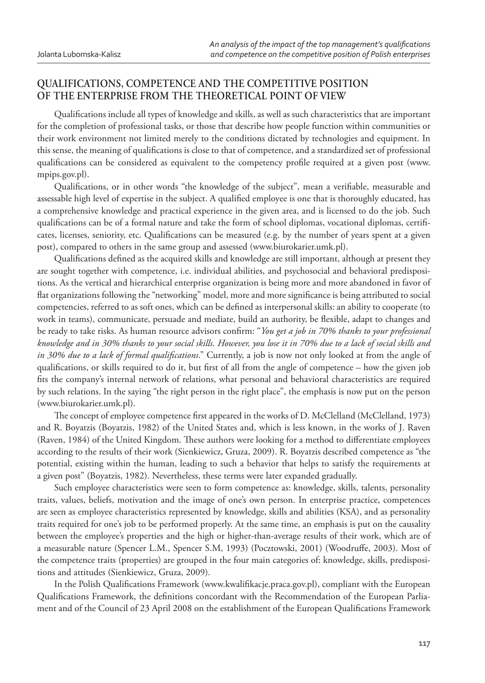# **QUALIFICATIONS, COMPETENCE AND THE COMPETITIVE POSITION OF THE ENTERPRISE FROM THE THEORETICAL POINT OF VIEW**

Qualifications include all types of knowledge and skills, as well as such characteristics that are important for the completion of professional tasks, or those that describe how people function within communities or their work environment not limited merely to the conditions dictated by technologies and equipment. In this sense, the meaning of qualifications is close to that of competence, and a standardized set of professional qualifications can be considered as equivalent to the competency profile required at a given post (www. mpips.gov.pl).

Qualifications, or in other words "the knowledge of the subject", mean a verifiable, measurable and assessable high level of expertise in the subject. A qualified employee is one that is thoroughly educated, has a comprehensive knowledge and practical experience in the given area, and is licensed to do the job. Such qualifications can be of a formal nature and take the form of school diplomas, vocational diplomas, certificates, licenses, seniority, etc. Qualifications can be measured (e.g. by the number of years spent at a given post), compared to others in the same group and assessed (www.biurokarier.umk.pl).

Qualifications defined as the acquired skills and knowledge are still important, although at present they are sought together with competence, i.e. individual abilities, and psychosocial and behavioral predispositions. As the vertical and hierarchical enterprise organization is being more and more abandoned in favor of flat organizations following the "networking" model, more and more significance is being attributed to social competencies, referred to as soft ones, which can be defined as interpersonal skills: an ability to cooperate (to work in teams), communicate, persuade and mediate, build an authority, be flexible, adapt to changes and be ready to take risks. As human resource advisors confirm: "You get a job in 70% thanks to your professional *knowledge and in 30% thanks to your social skills. However, you lose it in 70% due to a lack of social skills and in 30% due to a lack of formal qualifications.*" Currently, a job is now not only looked at from the angle of qualifications, or skills required to do it, but first of all from the angle of competence – how the given job fits the company's internal network of relations, what personal and behavioral characteristics are required by such relations. In the saying "the right person in the right place", the emphasis is now put on the person (www.biurokarier.umk.pl).

The concept of employee competence first appeared in the works of D. McClelland (McClelland, 1973) and R. Boyatzis (Boyatzis, 1982) of the United States and, which is less known, in the works of J. Raven (Raven, 1984) of the United Kingdom. These authors were looking for a method to differentiate employees according to the results of their work (Sienkiewicz, Gruza, 2009). R. Boyatzis described competence as "the potential, existing within the human, leading to such a behavior that helps to satisfy the requirements at a given post" (Boyatzis, 1982). Nevertheless, these terms were later expanded gradually.

Such employee characteristics were seen to form competence as: knowledge, skills, talents, personality traits, values, beliefs, motivation and the image of one's own person. In enterprise practice, competences are seen as employee characteristics represented by knowledge, skills and abilities (KSA), and as personality traits required for one's job to be performed properly. At the same time, an emphasis is put on the causality between the employee's properties and the high or higher-than-average results of their work, which are of a measurable nature (Spencer L.M., Spencer S.M, 1993) (Pocztowski, 2001) (Woodruffe, 2003). Most of the competence traits (properties) are grouped in the four main categories of: knowledge, skills, predispositions and attitudes (Sienkiewicz, Gruza, 2009).

In the Polish Qualifications Framework (www.kwalifikacje.praca.gov.pl), compliant with the European Qualifications Framework, the definitions concordant with the Recommendation of the European Parliament and of the Council of 23 April 2008 on the establishment of the European Qualifications Framework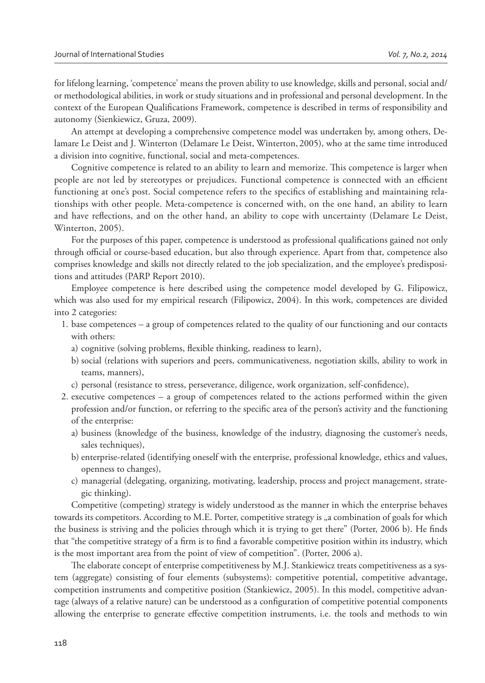for lifelong learning, 'competence' means the proven ability to use knowledge, skills and personal, social and/ or methodological abilities, in work or study situations and in professional and personal development. In the context of the European Qualifications Framework, competence is described in terms of responsibility and autonomy (Sienkiewicz, Gruza, 2009).

An attempt at developing a comprehensive competence model was undertaken by, among others, Delamare Le Deist and J. Winterton (Delamare Le Deist, Winterton, 2005), who at the same time introduced a division into cognitive, functional, social and meta-competences.

Cognitive competence is related to an ability to learn and memorize. This competence is larger when people are not led by stereotypes or prejudices. Functional competence is connected with an efficient functioning at one's post. Social competence refers to the specifics of establishing and maintaining relationships with other people. Meta-competence is concerned with, on the one hand, an ability to learn and have reflections, and on the other hand, an ability to cope with uncertainty (Delamare Le Deist, Winterton, 2005).

For the purposes of this paper, competence is understood as professional qualifications gained not only through official or course-based education, but also through experience. Apart from that, competence also comprises knowledge and skills not directly related to the job specialization, and the employee's predispositions and attitudes (PARP Report 2010).

Employee competence is here described using the competence model developed by G. Filipowicz, which was also used for my empirical research (Filipowicz, 2004). In this work, competences are divided into 2 categories:

- 1. base competences a group of competences related to the quality of our functioning and our contacts with others:
	- a) cognitive (solving problems, flexible thinking, readiness to learn),
	- b) social (relations with superiors and peers, communicativeness, negotiation skills, ability to work in teams, manners),
	- c) personal (resistance to stress, perseverance, diligence, work organization, self-confidence),
- 2. executive competences a group of competences related to the actions performed within the given profession and/or function, or referring to the specific area of the person's activity and the functioning of the enterprise:
	- a) business (knowledge of the business, knowledge of the industry, diagnosing the customer's needs, sales techniques),
	- b) enterprise-related (identifying oneself with the enterprise, professional knowledge, ethics and values, openness to changes),
	- c) managerial (delegating, organizing, motivating, leadership, process and project management, strategic thinking).

Competitive (competing) strategy is widely understood as the manner in which the enterprise behaves towards its competitors. According to M.E. Porter, competitive strategy is "a combination of goals for which the business is striving and the policies through which it is trying to get there" (Porter, 2006 b). He finds that "the competitive strategy of a firm is to find a favorable competitive position within its industry, which is the most important area from the point of view of competition". (Porter, 2006 a).

The elaborate concept of enterprise competitiveness by M.J. Stankiewicz treats competitiveness as a system (aggregate) consisting of four elements (subsystems): competitive potential, competitive advantage, competition instruments and competitive position (Stankiewicz, 2005). In this model, competitive advantage (always of a relative nature) can be understood as a configuration of competitive potential components allowing the enterprise to generate effective competition instruments, i.e. the tools and methods to win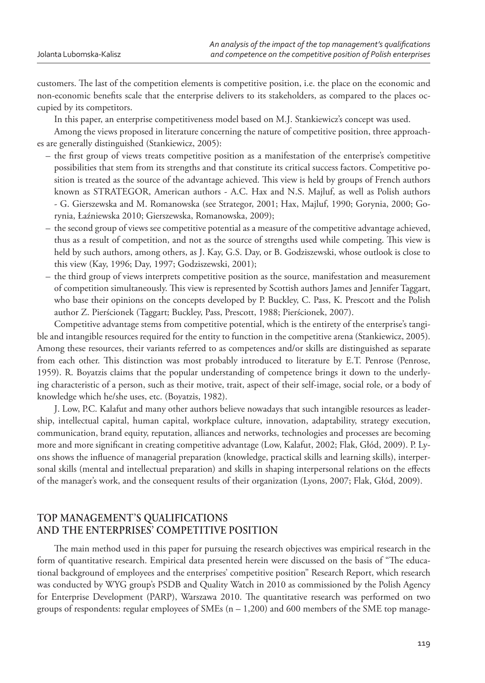customers. The last of the competition elements is competitive position, i.e. the place on the economic and non-economic benefits scale that the enterprise delivers to its stakeholders, as compared to the places occupied by its competitors.

In this paper, an enterprise competitiveness model based on M.J. Stankiewicz's concept was used.

Among the views proposed in literature concerning the nature of competitive position, three approaches are generally distinguished (Stankiewicz, 2005):

- the first group of views treats competitive position as a manifestation of the enterprise's competitive possibilities that stem from its strengths and that constitute its critical success factors. Competitive position is treated as the source of the advantage achieved. This view is held by groups of French authors known as STRATEGOR, American authors - A.C. Hax and N.S. Majluf, as well as Polish authors - G. Gierszewska and M. Romanowska (see Strategor, 2001; Hax, Majluf, 1990; Gorynia, 2000; Gorynia, Łaźniewska 2010; Gierszewska, Romanowska, 2009);
- the second group of views see competitive potential as a measure of the competitive advantage achieved, thus as a result of competition, and not as the source of strengths used while competing. This view is held by such authors, among others, as J. Kay, G.S. Day, or B. Godziszewski, whose outlook is close to this view (Kay, 1996; Day, 1997; Godziszewski, 2001);
- the third group of views interprets competitive position as the source, manifestation and measurement of competition simultaneously. This view is represented by Scottish authors James and Jennifer Taggart, who base their opinions on the concepts developed by P. Buckley, C. Pass, K. Prescott and the Polish author Z. Pierścionek (Taggart; Buckley, Pass, Prescott, 1988; Pierścionek, 2007).

Competitive advantage stems from competitive potential, which is the entirety of the enterprise's tangible and intangible resources required for the entity to function in the competitive arena (Stankiewicz, 2005). Among these resources, their variants referred to as competences and/or skills are distinguished as separate from each other. This distinction was most probably introduced to literature by E.T. Penrose (Penrose, 1959). R. Boyatzis claims that the popular understanding of competence brings it down to the underlying characteristic of a person, such as their motive, trait, aspect of their self-image, social role, or a body of knowledge which he/she uses, etc. (Boyatzis, 1982).

J. Low, P.C. Kalafut and many other authors believe nowadays that such intangible resources as leadership, intellectual capital, human capital, workplace culture, innovation, adaptability, strategy execution, communication, brand equity, reputation, alliances and networks, technologies and processes are becoming more and more significant in creating competitive advantage (Low, Kalafut, 2002; Flak, Głód, 2009). P. Lyons shows the influence of managerial preparation (knowledge, practical skills and learning skills), interpersonal skills (mental and intellectual preparation) and skills in shaping interpersonal relations on the effects of the manager's work, and the consequent results of their organization (Lyons, 2007; Flak, Głód, 2009).

### **TOP MANAGEMENT'S QUALIFICATIONS AND THE ENTERPRISES' COMPETITIVE POSITION**

The main method used in this paper for pursuing the research objectives was empirical research in the form of quantitative research. Empirical data presented herein were discussed on the basis of "The educational background of employees and the enterprises' competitive position" Research Report, which research was conducted by WYG group's PSDB and Quality Watch in 2010 as commissioned by the Polish Agency for Enterprise Development (PARP), Warszawa 2010. The quantitative research was performed on two groups of respondents: regular employees of SMEs  $(n - 1,200)$  and 600 members of the SME top manage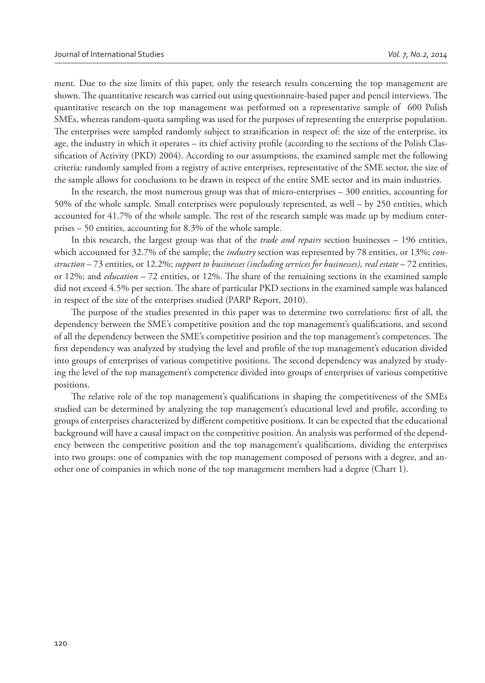ment. Due to the size limits of this paper, only the research results concerning the top management are shown. The quantitative research was carried out using questionnaire-based paper and pencil interviews. The quantitative research on the top management was performed on a representative sample of 600 Polish SMEs, whereas random-quota sampling was used for the purposes of representing the enterprise population. The enterprises were sampled randomly subject to stratification in respect of: the size of the enterprise, its age, the industry in which it operates – its chief activity profile (according to the sections of the Polish Classification of Activity (PKD) 2004). According to our assumptions, the examined sample met the following criteria: randomly sampled from a registry of active enterprises, representative of the SME sector, the size of the sample allows for conclusions to be drawn in respect of the entire SME sector and its main industries.

In the research, the most numerous group was that of micro-enterprises – 300 entities, accounting for 50% of the whole sample. Small enterprises were populously represented, as well – by 250 entities, which accounted for 41.7% of the whole sample. The rest of the research sample was made up by medium enterprises – 50 entities, accounting for 8.3% of the whole sample.

In this research, the largest group was that of the *trade and repairs* section businesses – 196 entities, which accounted for 32.7% of the sample; the *industry* section was represented by 78 entities, or 13%; *construction* – 73 entities, or 12.2%; *support to businesses (including services for businesses), real estate* – 72 entities, or 12%; and *education* – 72 entities, or 12%. The share of the remaining sections in the examined sample did not exceed 4.5% per section. The share of particular PKD sections in the examined sample was balanced in respect of the size of the enterprises studied (PARP Report, 2010).

The purpose of the studies presented in this paper was to determine two correlations: first of all, the dependency between the SME's competitive position and the top management's qualifications, and second of all the dependency between the SME's competitive position and the top management's competences. The first dependency was analyzed by studying the level and profile of the top management's education divided into groups of enterprises of various competitive positions. The second dependency was analyzed by studying the level of the top management's competence divided into groups of enterprises of various competitive positions.

The relative role of the top management's qualifications in shaping the competitiveness of the SMEs studied can be determined by analyzing the top management's educational level and profile, according to groups of enterprises characterized by different competitive positions. It can be expected that the educational background will have a causal impact on the competitive position. An analysis was performed of the dependency between the competitive position and the top management's qualifications, dividing the enterprises into two groups: one of companies with the top management composed of persons with a degree, and another one of companies in which none of the top management members had a degree (Chart 1).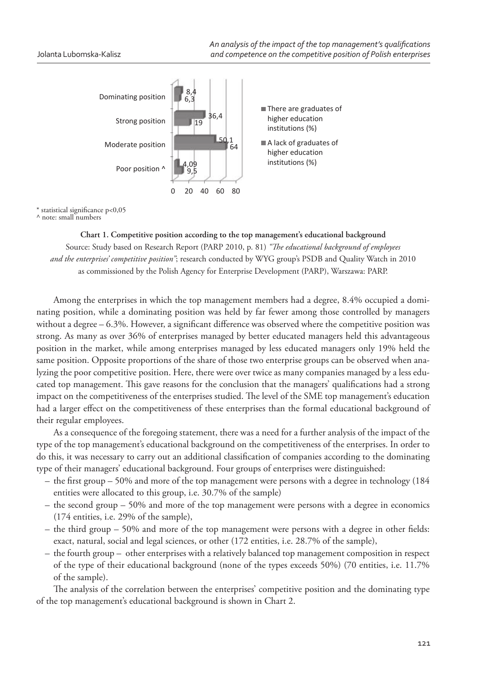

 $*$  statistical significance p<0,05

^ note: small numbers

**Chart 1. Competitive position according to the top management's educational background** Source: Study based on Research Report (PARP 2010, p. 81) "The educational background of employees *and the enterprises' competitive position"*; research conducted by WYG group's PSDB and Quality Watch in 2010 as commissioned by the Polish Agency for Enterprise Development (PARP), Warszawa: PARP.

Among the enterprises in which the top management members had a degree, 8.4% occupied a dominating position, while a dominating position was held by far fewer among those controlled by managers without a degree – 6.3%. However, a significant difference was observed where the competitive position was strong. As many as over 36% of enterprises managed by better educated managers held this advantageous position in the market, while among enterprises managed by less educated managers only 19% held the same position. Opposite proportions of the share of those two enterprise groups can be observed when analyzing the poor competitive position. Here, there were over twice as many companies managed by a less educated top management. This gave reasons for the conclusion that the managers' qualifications had a strong impact on the competitiveness of the enterprises studied. The level of the SME top management's education had a larger effect on the competitiveness of these enterprises than the formal educational background of their regular employees.

As a consequence of the foregoing statement, there was a need for a further analysis of the impact of the type of the top management's educational background on the competitiveness of the enterprises. In order to do this, it was necessary to carry out an additional classification of companies according to the dominating type of their managers' educational background. Four groups of enterprises were distinguished:

- the first group 50% and more of the top management were persons with a degree in technology  $(184)$ entities were allocated to this group, i.e. 30.7% of the sample)
- the second group 50% and more of the top management were persons with a degree in economics (174 entities, i.e. 29% of the sample),
- the third group  $-50\%$  and more of the top management were persons with a degree in other fields: exact, natural, social and legal sciences, or other (172 entities, i.e. 28.7% of the sample),
- the fourth group other enterprises with a relatively balanced top management composition in respect of the type of their educational background (none of the types exceeds 50%) (70 entities, i.e. 11.7% of the sample).

The analysis of the correlation between the enterprises' competitive position and the dominating type of the top management's educational background is shown in Chart 2.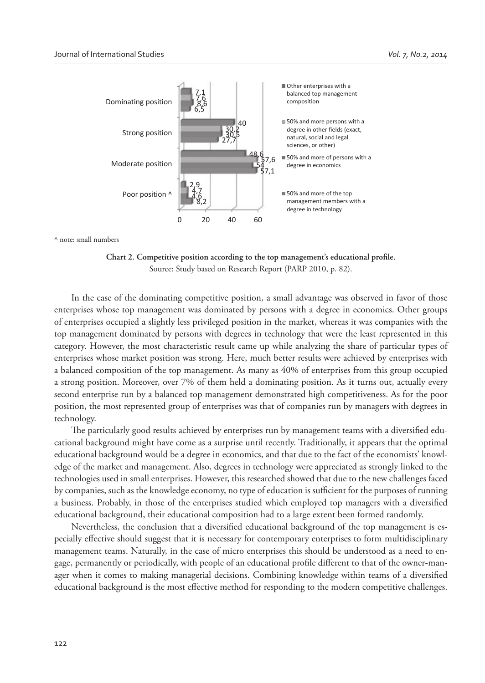

^ note: small numbers

Chart 2. Competitive position according to the top management's educational profile. Source: Study based on Research Report (PARP 2010, p. 82).

In the case of the dominating competitive position, a small advantage was observed in favor of those enterprises whose top management was dominated by persons with a degree in economics. Other groups of enterprises occupied a slightly less privileged position in the market, whereas it was companies with the top management dominated by persons with degrees in technology that were the least represented in this category. However, the most characteristic result came up while analyzing the share of particular types of enterprises whose market position was strong. Here, much better results were achieved by enterprises with a balanced composition of the top management. As many as 40% of enterprises from this group occupied a strong position. Moreover, over 7% of them held a dominating position. As it turns out, actually every second enterprise run by a balanced top management demonstrated high competitiveness. As for the poor position, the most represented group of enterprises was that of companies run by managers with degrees in technology.

The particularly good results achieved by enterprises run by management teams with a diversified educational background might have come as a surprise until recently. Traditionally, it appears that the optimal educational background would be a degree in economics, and that due to the fact of the economists' knowledge of the market and management. Also, degrees in technology were appreciated as strongly linked to the technologies used in small enterprises. However, this researched showed that due to the new challenges faced by companies, such as the knowledge economy, no type of education is sufficient for the purposes of running a business. Probably, in those of the enterprises studied which employed top managers with a diversified educational background, their educational composition had to a large extent been formed randomly.

Nevertheless, the conclusion that a diversified educational background of the top management is especially effective should suggest that it is necessary for contemporary enterprises to form multidisciplinary management teams. Naturally, in the case of micro enterprises this should be understood as a need to engage, permanently or periodically, with people of an educational profile different to that of the owner-manager when it comes to making managerial decisions. Combining knowledge within teams of a diversified educational background is the most effective method for responding to the modern competitive challenges.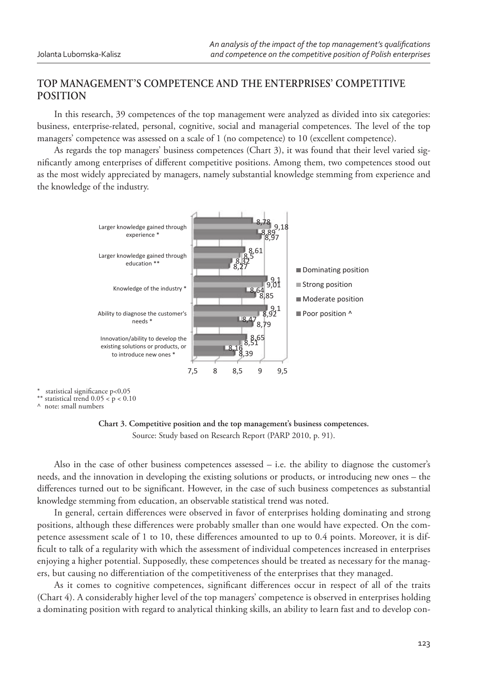# **TOP MANAGEMENT'S COMPETENCE AND THE ENTERPRISES' COMPETITIVE POSITION**

In this research, 39 competences of the top management were analyzed as divided into six categories: business, enterprise-related, personal, cognitive, social and managerial competences. The level of the top managers' competence was assessed on a scale of 1 (no competence) to 10 (excellent competence).

As regards the top managers' business competences (Chart 3), it was found that their level varied significantly among enterprises of different competitive positions. Among them, two competences stood out as the most widely appreciated by managers, namely substantial knowledge stemming from experience and the knowledge of the industry.



statistical significance p<0,05

\*\* statistical trend  $0.05 < p < 0.10$ 

^ note: small numbers



Also in the case of other business competences assessed  $-$  i.e. the ability to diagnose the customer's needs, and the innovation in developing the existing solutions or products, or introducing new ones – the differences turned out to be significant. However, in the case of such business competences as substantial knowledge stemming from education, an observable statistical trend was noted.

In general, certain differences were observed in favor of enterprises holding dominating and strong positions, although these differences were probably smaller than one would have expected. On the competence assessment scale of 1 to 10, these differences amounted to up to 0.4 points. Moreover, it is difficult to talk of a regularity with which the assessment of individual competences increased in enterprises enjoying a higher potential. Supposedly, these competences should be treated as necessary for the managers, but causing no differentiation of the competitiveness of the enterprises that they managed.

As it comes to cognitive competences, significant differences occur in respect of all of the traits (Chart 4). A considerably higher level of the top managers' competence is observed in enterprises holding a dominating position with regard to analytical thinking skills, an ability to learn fast and to develop con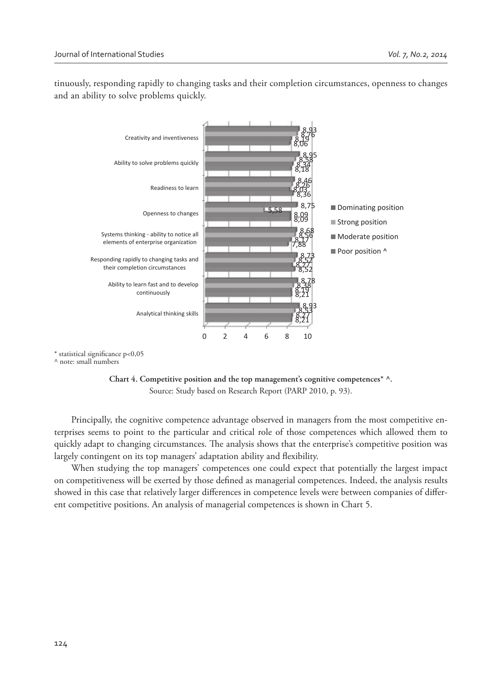tinuously, responding rapidly to changing tasks and their completion circumstances, openness to changes and an ability to solve problems quickly.



 $*$  statistical significance p<0,05

^ note: small numbers



Principally, the cognitive competence advantage observed in managers from the most competitive enterprises seems to point to the particular and critical role of those competences which allowed them to quickly adapt to changing circumstances. The analysis shows that the enterprise's competitive position was largely contingent on its top managers' adaptation ability and flexibility.

When studying the top managers' competences one could expect that potentially the largest impact on competitiveness will be exerted by those defined as managerial competences. Indeed, the analysis results showed in this case that relatively larger differences in competence levels were between companies of different competitive positions. An analysis of managerial competences is shown in Chart 5.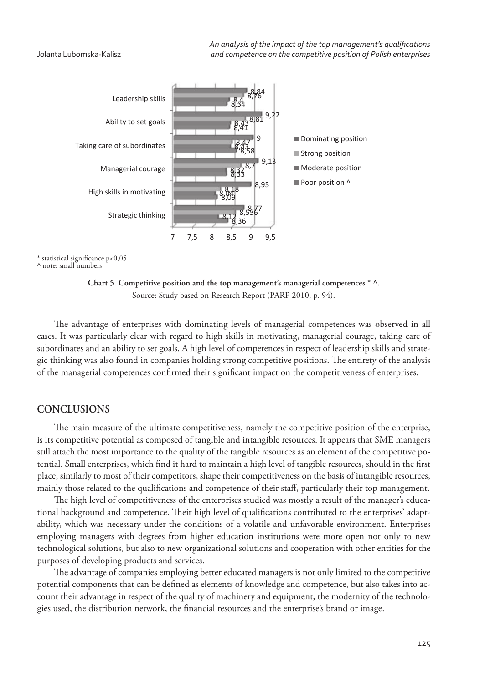

 $*$  statistical significance p<0,05

^ note: small numbers

**Chart 5. Competitive position and the top management's managerial competences \* ^.** Source: Study based on Research Report (PARP 2010, p. 94).

The advantage of enterprises with dominating levels of managerial competences was observed in all cases. It was particularly clear with regard to high skills in motivating, managerial courage, taking care of subordinates and an ability to set goals. A high level of competences in respect of leadership skills and strategic thinking was also found in companies holding strong competitive positions. The entirety of the analysis of the managerial competences confirmed their significant impact on the competitiveness of enterprises.

#### **CONCLUSIONS**

The main measure of the ultimate competitiveness, namely the competitive position of the enterprise, is its competitive potential as composed of tangible and intangible resources. It appears that SME managers still attach the most importance to the quality of the tangible resources as an element of the competitive potential. Small enterprises, which find it hard to maintain a high level of tangible resources, should in the first place, similarly to most of their competitors, shape their competitiveness on the basis of intangible resources, mainly those related to the qualifications and competence of their staff, particularly their top management.

The high level of competitiveness of the enterprises studied was mostly a result of the manager's educational background and competence. Their high level of qualifications contributed to the enterprises' adaptability, which was necessary under the conditions of a volatile and unfavorable environment. Enterprises employing managers with degrees from higher education institutions were more open not only to new technological solutions, but also to new organizational solutions and cooperation with other entities for the purposes of developing products and services.

The advantage of companies employing better educated managers is not only limited to the competitive potential components that can be defined as elements of knowledge and competence, but also takes into account their advantage in respect of the quality of machinery and equipment, the modernity of the technologies used, the distribution network, the financial resources and the enterprise's brand or image.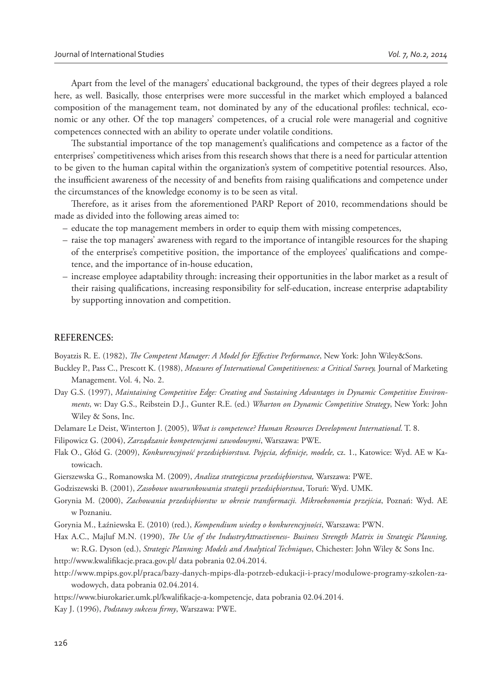Apart from the level of the managers' educational background, the types of their degrees played a role here, as well. Basically, those enterprises were more successful in the market which employed a balanced composition of the management team, not dominated by any of the educational profiles: technical, economic or any other. Of the top managers' competences, of a crucial role were managerial and cognitive competences connected with an ability to operate under volatile conditions.

The substantial importance of the top management's qualifications and competence as a factor of the enterprises' competitiveness which arises from this research shows that there is a need for particular attention to be given to the human capital within the organization's system of competitive potential resources. Also, the insufficient awareness of the necessity of and benefits from raising qualifications and competence under the circumstances of the knowledge economy is to be seen as vital.

Therefore, as it arises from the aforementioned PARP Report of 2010, recommendations should be made as divided into the following areas aimed to:

- educate the top management members in order to equip them with missing competences,
- raise the top managers' awareness with regard to the importance of intangible resources for the shaping of the enterprise's competitive position, the importance of the employees' qualifications and competence, and the importance of in-house education,
- increase employee adaptability through: increasing their opportunities in the labor market as a result of their raising qualifications, increasing responsibility for self-education, increase enterprise adaptability by supporting innovation and competition.

#### **REFERENCES:**

Boyatzis R. E. (1982), *The Competent Manager: A Model for Effective Performance*, New York: John Wiley&Sons.

- Buckley P., Pass C., Prescott K. (1988), *Measures of International Competitiveness: a Critical Survey,* Journal of Marketing Management. Vol. 4, No. 2.
- Day G.S. (1997), *Maintaining Competitive Edge: Creating and Sustaining Advantages in Dynamic Competitive Environments*, w: Day G.S., Reibstein D.J., Gunter R.E. (ed.) *Wharton on Dynamic Competitive Strategy*, New York: John Wiley & Sons, Inc.
- Delamare Le Deist, Winterton J. (2005), *What is competence? Human Resources Development International*. T. 8.
- Filipowicz G. (2004), *Zarządzanie kompetencjami zawodowymi*, Warszawa: PWE.
- Flak O., Głód G. (2009), *Konkurencyjność przedsiębiorstwa. Pojęcia, definicje, modele, cz. 1.*, Katowice: Wyd. AE w Katowicach.
- Gierszewska G., Romanowska M. (2009), *Analiza strategiczna przedsiębiorstwa,* Warszawa: PWE.
- Godziszewski B. (2001), *Zasobowe uwarunkowania strategii przedsiębiorstwa*, Toruń: Wyd. UMK.
- Gorynia M. (2000), *Zachowania przedsiębiorstw w okresie transformacji. Mikroekonomia przejścia*, Poznań: Wyd. AE w Poznaniu.
- Gorynia M., Łaźniewska E. (2010) (red.), *Kompendium wiedzy o konkurencyjności*, Warszawa: PWN.
- Hax A.C., Majluf M.N. (1990), *The Use of the IndustryAttractiveness- Business Strength Matrix in Strategic Planning*, w: R.G. Dyson (ed.), *Strategic Planning: Models and Analytical Techniques*, Chichester: John Wiley & Sons Inc.
- http://www.kwalifikacje.praca.gov.pl/ data pobrania 02.04.2014.
- http://www.mpips.gov.pl/praca/bazy-danych-mpips-dla-potrzeb-edukacji-i-pracy/modulowe-programy-szkolen-zawodowych, data pobrania 02.04.2014.
- https://www.biurokarier.umk.pl/kwalifikacje-a-kompetencje, data pobrania 02.04.2014.
- Kay J. (1996), *Podstawy sukcesu firmy*, Warszawa: PWE.